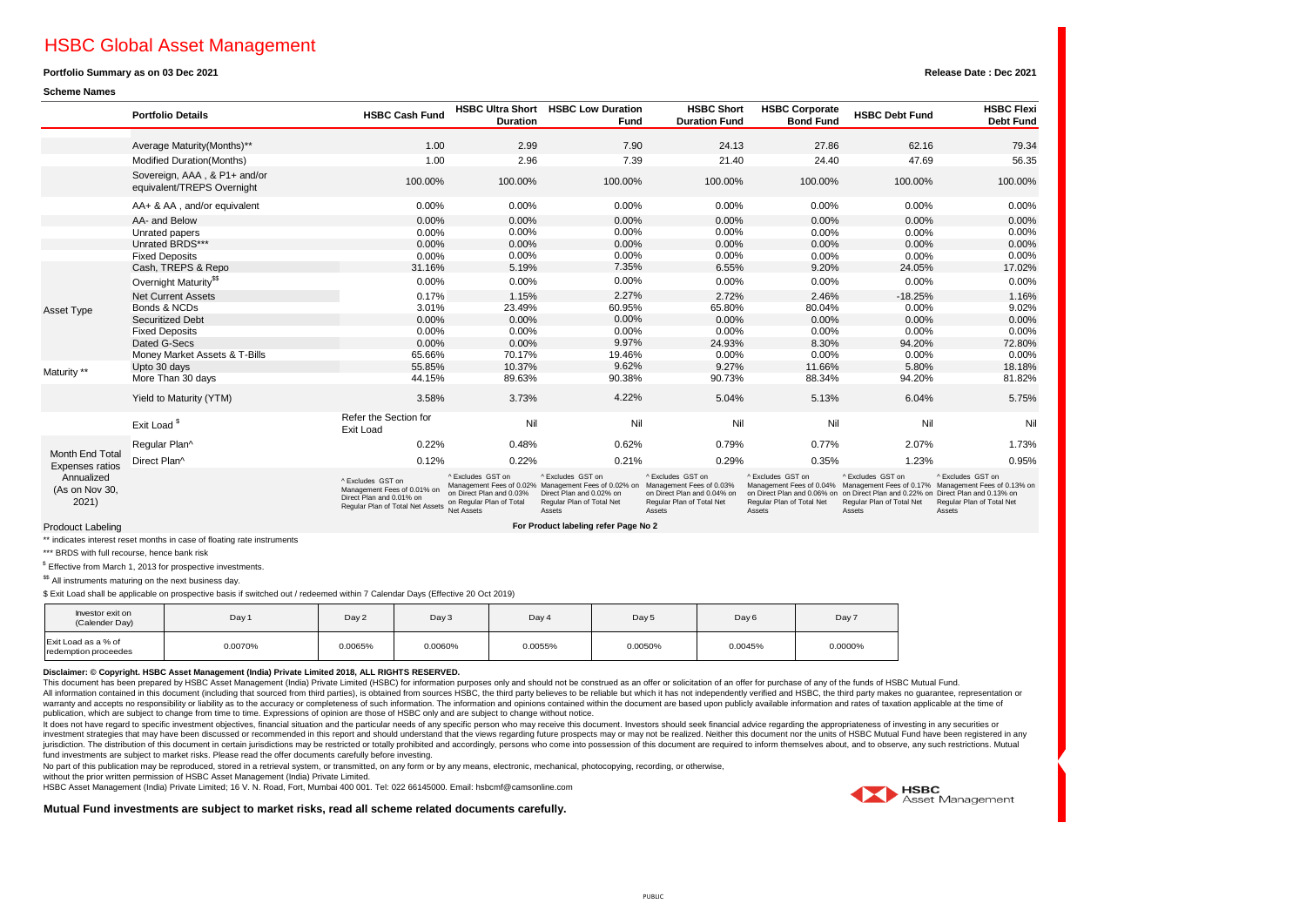# HSBC Global Asset Management

### **Portfolio Summary as on 03 Dec 2021**

## **Scheme Names**

**Release Date : Dec 2021**

|                                                                                    | <b>Portfolio Details</b>                                                | <b>HSBC Cash Fund</b>                                                                                            | <b>Duration</b>                                                                         | HSBC Ultra Short HSBC Low Duration<br>Fund                                                                                                   | <b>HSBC Short</b><br><b>Duration Fund</b>                                                                           | <b>HSBC Corporate</b><br><b>Bond Fund</b>                                                                                                    | <b>HSBC Debt Fund</b>                                    | <b>HSBC Flexi</b><br><b>Debt Fund</b>                                                                                                     |
|------------------------------------------------------------------------------------|-------------------------------------------------------------------------|------------------------------------------------------------------------------------------------------------------|-----------------------------------------------------------------------------------------|----------------------------------------------------------------------------------------------------------------------------------------------|---------------------------------------------------------------------------------------------------------------------|----------------------------------------------------------------------------------------------------------------------------------------------|----------------------------------------------------------|-------------------------------------------------------------------------------------------------------------------------------------------|
|                                                                                    | Average Maturity(Months)**                                              | 1.00                                                                                                             | 2.99                                                                                    | 7.90                                                                                                                                         | 24.13                                                                                                               | 27.86                                                                                                                                        | 62.16                                                    | 79.34                                                                                                                                     |
|                                                                                    | Modified Duration(Months)                                               | 1.00                                                                                                             | 2.96                                                                                    | 7.39                                                                                                                                         | 21.40                                                                                                               | 24.40                                                                                                                                        | 47.69                                                    | 56.35                                                                                                                                     |
|                                                                                    | Sovereign, AAA, & P1+ and/or<br>equivalent/TREPS Overnight              | 100.00%                                                                                                          | 100.00%                                                                                 | 100.00%                                                                                                                                      | 100.00%                                                                                                             | 100.00%                                                                                                                                      | 100.00%                                                  | 100.00%                                                                                                                                   |
|                                                                                    | AA+ & AA, and/or equivalent                                             | $0.00\%$                                                                                                         | 0.00%                                                                                   | 0.00%                                                                                                                                        | 0.00%                                                                                                               | 0.00%                                                                                                                                        | 0.00%                                                    | 0.00%                                                                                                                                     |
|                                                                                    | AA- and Below                                                           | 0.00%                                                                                                            | 0.00%                                                                                   | 0.00%                                                                                                                                        | 0.00%                                                                                                               | 0.00%                                                                                                                                        | 0.00%                                                    | 0.00%                                                                                                                                     |
|                                                                                    | Unrated papers                                                          | 0.00%                                                                                                            | 0.00%                                                                                   | 0.00%                                                                                                                                        | 0.00%                                                                                                               | 0.00%                                                                                                                                        | 0.00%                                                    | 0.00%                                                                                                                                     |
|                                                                                    | Unrated BRDS***                                                         | 0.00%                                                                                                            | 0.00%                                                                                   | 0.00%                                                                                                                                        | 0.00%                                                                                                               | 0.00%                                                                                                                                        | 0.00%                                                    | 0.00%                                                                                                                                     |
|                                                                                    | <b>Fixed Deposits</b>                                                   | 0.00%                                                                                                            | 0.00%                                                                                   | 0.00%                                                                                                                                        | 0.00%                                                                                                               | 0.00%                                                                                                                                        | 0.00%                                                    | 0.00%                                                                                                                                     |
|                                                                                    | Cash, TREPS & Repo                                                      | 31.16%                                                                                                           | 5.19%                                                                                   | 7.35%                                                                                                                                        | 6.55%                                                                                                               | 9.20%                                                                                                                                        | 24.05%                                                   | 17.02%                                                                                                                                    |
|                                                                                    | Overnight Maturity <sup>\$\$</sup>                                      | 0.00%                                                                                                            | 0.00%                                                                                   | 0.00%                                                                                                                                        | 0.00%                                                                                                               | 0.00%                                                                                                                                        | 0.00%                                                    | 0.00%                                                                                                                                     |
|                                                                                    | <b>Net Current Assets</b>                                               | 0.17%                                                                                                            | 1.15%                                                                                   | 2.27%                                                                                                                                        | 2.72%                                                                                                               | 2.46%                                                                                                                                        | $-18.25%$                                                | 1.16%                                                                                                                                     |
| Asset Type                                                                         | Bonds & NCDs                                                            | 3.01%                                                                                                            | 23.49%                                                                                  | 60.95%                                                                                                                                       | 65.80%                                                                                                              | 80.04%                                                                                                                                       | 0.00%                                                    | 9.02%                                                                                                                                     |
|                                                                                    | <b>Securitized Debt</b>                                                 | 0.00%                                                                                                            | 0.00%                                                                                   | 0.00%                                                                                                                                        | 0.00%                                                                                                               | 0.00%                                                                                                                                        | 0.00%                                                    | 0.00%                                                                                                                                     |
|                                                                                    | <b>Fixed Deposits</b>                                                   | 0.00%                                                                                                            | $0.00\%$                                                                                | 0.00%                                                                                                                                        | 0.00%                                                                                                               | 0.00%                                                                                                                                        | 0.00%                                                    | 0.00%                                                                                                                                     |
|                                                                                    | Dated G-Secs                                                            | 0.00%                                                                                                            | 0.00%                                                                                   | 9.97%                                                                                                                                        | 24.93%                                                                                                              | 8.30%                                                                                                                                        | 94.20%                                                   | 72.80%                                                                                                                                    |
|                                                                                    | Money Market Assets & T-Bills                                           | 65.66%                                                                                                           | 70.17%                                                                                  | 19.46%                                                                                                                                       | 0.00%                                                                                                               | 0.00%                                                                                                                                        | 0.00%                                                    | 0.00%                                                                                                                                     |
| Maturity **                                                                        | Upto 30 days                                                            | 55.85%                                                                                                           | 10.37%                                                                                  | 9.62%                                                                                                                                        | 9.27%                                                                                                               | 11.66%                                                                                                                                       | 5.80%                                                    | 18.18%                                                                                                                                    |
|                                                                                    | More Than 30 days                                                       | 44.15%                                                                                                           | 89.63%                                                                                  | 90.38%                                                                                                                                       | 90.73%                                                                                                              | 88.34%                                                                                                                                       | 94.20%                                                   | 81.82%                                                                                                                                    |
|                                                                                    | Yield to Maturity (YTM)                                                 | 3.58%                                                                                                            | 3.73%                                                                                   | 4.22%                                                                                                                                        | 5.04%                                                                                                               | 5.13%                                                                                                                                        | 6.04%                                                    | 5.75%                                                                                                                                     |
|                                                                                    | Exit Load <sup>\$</sup>                                                 | Refer the Section for<br>Exit Load                                                                               | Nil                                                                                     | Nil                                                                                                                                          | Nil                                                                                                                 | Nil                                                                                                                                          | Nil                                                      | Ni                                                                                                                                        |
| <b>Month End Total</b><br>Expenses ratios<br>Annualized<br>(As on Nov 30,<br>2021) | Regular Plan^                                                           | 0.22%                                                                                                            | 0.48%                                                                                   | 0.62%                                                                                                                                        | 0.79%                                                                                                               | 0.77%                                                                                                                                        | 2.07%                                                    | 1.73%                                                                                                                                     |
|                                                                                    | Direct Plan^                                                            | 0.12%                                                                                                            | 0.22%                                                                                   | 0.21%                                                                                                                                        | 0.29%                                                                                                               | 0.35%                                                                                                                                        | 1.23%                                                    | 0.95%                                                                                                                                     |
|                                                                                    |                                                                         | ^ Excludes GST on<br>Management Fees of 0.01% on<br>Direct Plan and 0.01% on<br>Regular Plan of Total Net Assets | ^ Excludes GST on<br>on Direct Plan and 0.03%<br>on Regular Plan of Total<br>Net Assets | ^ Excludes GST on<br>Management Fees of 0.02% Management Fees of 0.02% on<br>Direct Plan and 0.02% on<br>Regular Plan of Total Net<br>Assets | ^ Excludes GST on<br>Management Fees of 0.03%<br>on Direct Plan and 0.04% on<br>Regular Plan of Total Net<br>Assets | ^ Excludes GST on<br>on Direct Plan and 0.06% on on Direct Plan and 0.22% on Direct Plan and 0.13% on<br>Regular Plan of Total Net<br>Assets | ^ Excludes GST on<br>Regular Plan of Total Net<br>Assets | ^ Excludes GST on<br>Management Fees of 0.04% Management Fees of 0.17% Management Fees of 0.13% on<br>Regular Plan of Total Net<br>Assets |
| For Product labeling refer Page No 2<br><b>Prodouct Labeling</b>                   |                                                                         |                                                                                                                  |                                                                                         |                                                                                                                                              |                                                                                                                     |                                                                                                                                              |                                                          |                                                                                                                                           |
|                                                                                    | ** indicates interest reset months in case of floating rate instruments |                                                                                                                  |                                                                                         |                                                                                                                                              |                                                                                                                     |                                                                                                                                              |                                                          |                                                                                                                                           |
| *** BRDS with full recourse, hence bank risk                                       |                                                                         |                                                                                                                  |                                                                                         |                                                                                                                                              |                                                                                                                     |                                                                                                                                              |                                                          |                                                                                                                                           |
|                                                                                    | <sup>\$</sup> Effective from March 1, 2013 for prospective investments. |                                                                                                                  |                                                                                         |                                                                                                                                              |                                                                                                                     |                                                                                                                                              |                                                          |                                                                                                                                           |
|                                                                                    | \$\$ All instruments maturing on the next business day.                 |                                                                                                                  |                                                                                         |                                                                                                                                              |                                                                                                                     |                                                                                                                                              |                                                          |                                                                                                                                           |
|                                                                                    |                                                                         |                                                                                                                  |                                                                                         |                                                                                                                                              |                                                                                                                     |                                                                                                                                              |                                                          |                                                                                                                                           |

\$ Exit Load shall be applicable on prospective basis if switched out / redeemed within 7 Calendar Days (Effective 20 Oct 2019)

| Investor exit on<br>(Calender Day)          | Day 1   | Day 2   | Day 3   | Day 4   | Day 5   | Day 6   | Day 7   |
|---------------------------------------------|---------|---------|---------|---------|---------|---------|---------|
| Exit Load as a % of<br>redemption proceedes | 0.0070% | 0.0065% | 0.0060% | 0.0055% | 0.0050% | 0.0045% | 0.0000% |

#### **Disclaimer: © Copyright. HSBC Asset Management (India) Private Limited 2018, ALL RIGHTS RESERVED.**

This document has been prepared by HSBC Asset Management (India) Private Limited (HSBC) for information purposes only and should not be construed as an offer or solicitation of an offer for purchase of any of the funds of All information contained in this document (including that sourced from third parties), is obtained from sources HSBC, the third party believes to be reliable but which it has not independently verified and HSBC, the third warranty and accepts no responsibility or liability as to the accuracy or completeness of such information. The information and opinions contained within the document are based upon publicly available information and rates publication, which are subject to change from time to time. Expressions of opinion are those of HSBC only and are subject to change without notice.

the does not have regard to specific investment objectives. financial situation and the particular needs of any specific person who may receive this document. Investors should seek financial advice regarding the appropriat investment strategies that may have been discussed or recommended in this report and should understand that the views recarding future prospects may or may not be realized. Neither this document nor the units of HSBC Mutua jurisdiction. The distribution of this document in certain jurisdictions may be restricted or totally prohibited and accordingly, persons who come into possession of this document are required to inform themselves about, a fund investments are subject to market risks. Please read the offer documents carefully before investing.

No part of this publication may be reproduced, stored in a retrieval system, or transmitted, on any form or by any means, electronic, mechanical, photocopying, recording, or otherwise,

without the prior written permission of HSBC Asset Management (India) Private Limited.

HSBC Asset Management (India) Private Limited; 16 V. N. Road, Fort, Mumbai 400 001. Tel: 022 66145000. Email: hsbcmf@camsonline.com

**Mutual Fund investments are subject to market risks, read all scheme related documents carefully.**